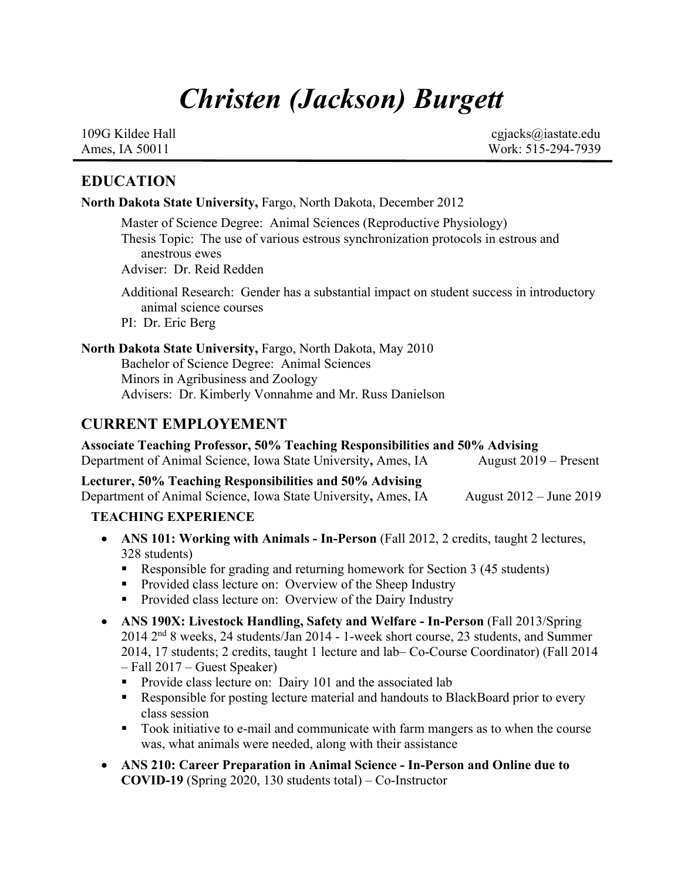# *Christen (Jackson) Burgett*

 109G Kildee Hall cgjacks@iastate.edu Ames, IA 50011 Work: 515-294-7939

#### **EDUCATION**

**North Dakota State University,** Fargo, North Dakota, December 2012

Master of Science Degree: Animal Sciences (Reproductive Physiology) Thesis Topic:The use of various estrous synchronization protocols in estrous and anestrous ewes Adviser: Dr. Reid Redden

Additional Research: Gender has a substantial impact on student success in introductory animal science courses PI: Dr. Eric Berg

**North Dakota State University,** Fargo, North Dakota, May 2010 Bachelor of Science Degree: Animal Sciences Minors in Agribusiness and Zoology Advisers: Dr. Kimberly Vonnahme and Mr. Russ Danielson

## **CURRENT EMPLOYEMENT**

**Associate Teaching Professor, 50% Teaching Responsibilities and 50% Advising**  Department of Animal Science, Iowa State University, Ames, IA August 2019 – Present

**Lecturer, 50% Teaching Responsibilities and 50% Advising** Department of Animal Science, Iowa State University**,** Ames, IAAugust 2012 – June 2019

#### **TEACHING EXPERIENCE**

- **ANS 101: Working with Animals - In-Person** (Fall 2012, 2 credits, taught 2 lectures, 328 students)
	- § Responsible for grading and returning homework for Section 3 (45 students)
	- Provided class lecture on: Overview of the Sheep Industry
	- Provided class lecture on: Overview of the Dairy Industry
- **ANS 190X: Livestock Handling, Safety and Welfare - In-Person** (Fall 2013/Spring 2014 2nd 8 weeks, 24 students/Jan 2014 - 1-week short course, 23 students, and Summer 2014, 17 students; 2 credits, taught 1 lecture and lab– Co-Course Coordinator) (Fall 2014 – Fall 2017 – Guest Speaker)
	- Provide class lecture on: Dairy 101 and the associated lab
	- Responsible for posting lecture material and handouts to BlackBoard prior to every class session
	- § Took initiative to e-mail and communicate with farm mangers as to when the course was, what animals were needed, along with their assistance
- **ANS 210: Career Preparation in Animal Science - In-Person and Online due to COVID-19** (Spring 2020, 130 students total) – Co-Instructor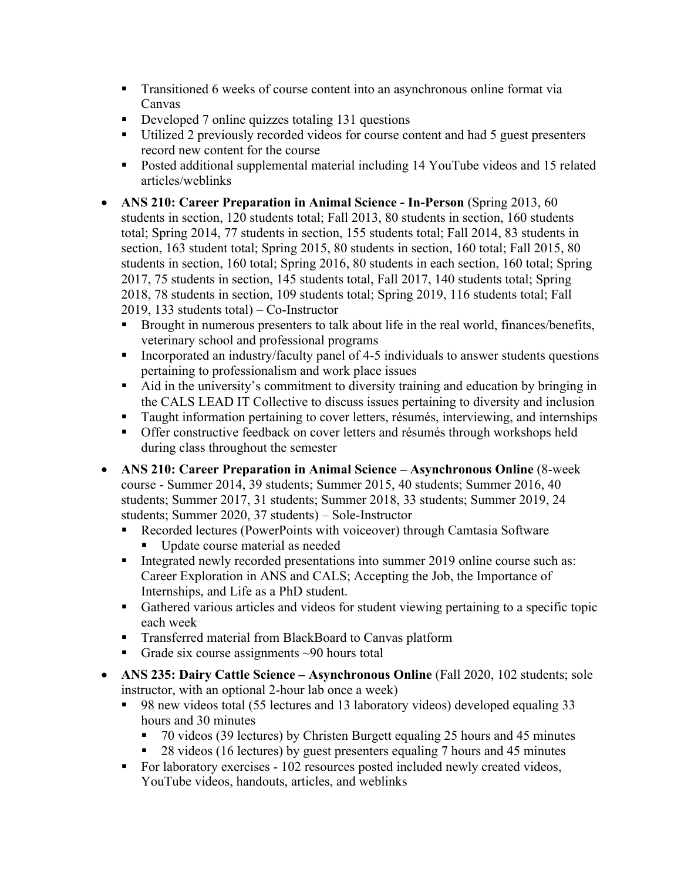- Transitioned 6 weeks of course content into an asynchronous online format via Canvas
- Developed 7 online quizzes totaling 131 questions
- Utilized 2 previously recorded videos for course content and had 5 guest presenters record new content for the course
- Posted additional supplemental material including 14 YouTube videos and 15 related articles/weblinks
- **ANS 210: Career Preparation in Animal Science - In-Person** (Spring 2013, 60 students in section, 120 students total; Fall 2013, 80 students in section, 160 students total; Spring 2014, 77 students in section, 155 students total; Fall 2014, 83 students in section, 163 student total; Spring 2015, 80 students in section, 160 total; Fall 2015, 80 students in section, 160 total; Spring 2016, 80 students in each section, 160 total; Spring 2017, 75 students in section, 145 students total, Fall 2017, 140 students total; Spring 2018, 78 students in section, 109 students total; Spring 2019, 116 students total; Fall 2019, 133 students total) – Co-Instructor
	- Brought in numerous presenters to talk about life in the real world, finances/benefits, veterinary school and professional programs
	- Incorporated an industry/faculty panel of 4-5 individuals to answer students questions pertaining to professionalism and work place issues
	- Aid in the university's commitment to diversity training and education by bringing in the CALS LEAD IT Collective to discuss issues pertaining to diversity and inclusion
	- Taught information pertaining to cover letters, résumés, interviewing, and internships
	- Offer constructive feedback on cover letters and résumés through workshops held during class throughout the semester
- **ANS 210: Career Preparation in Animal Science – Asynchronous Online** (8-week course - Summer 2014, 39 students; Summer 2015, 40 students; Summer 2016, 40 students; Summer 2017, 31 students; Summer 2018, 33 students; Summer 2019, 24 students; Summer 2020, 37 students) – Sole-Instructor
	- Recorded lectures (PowerPoints with voiceover) through Camtasia Software § Update course material as needed
	- Integrated newly recorded presentations into summer 2019 online course such as: Career Exploration in ANS and CALS; Accepting the Job, the Importance of Internships, and Life as a PhD student.
	- Gathered various articles and videos for student viewing pertaining to a specific topic each week
	- Transferred material from BlackBoard to Canvas platform
	- Grade six course assignments  $\sim$ 90 hours total
- **ANS 235: Dairy Cattle Science – Asynchronous Online** (Fall 2020, 102 students; sole instructor, with an optional 2-hour lab once a week)
	- § 98 new videos total (55 lectures and 13 laboratory videos) developed equaling 33 hours and 30 minutes
		- § 70 videos (39 lectures) by Christen Burgett equaling 25 hours and 45 minutes
		- § 28 videos (16 lectures) by guest presenters equaling 7 hours and 45 minutes
	- For laboratory exercises 102 resources posted included newly created videos, YouTube videos, handouts, articles, and weblinks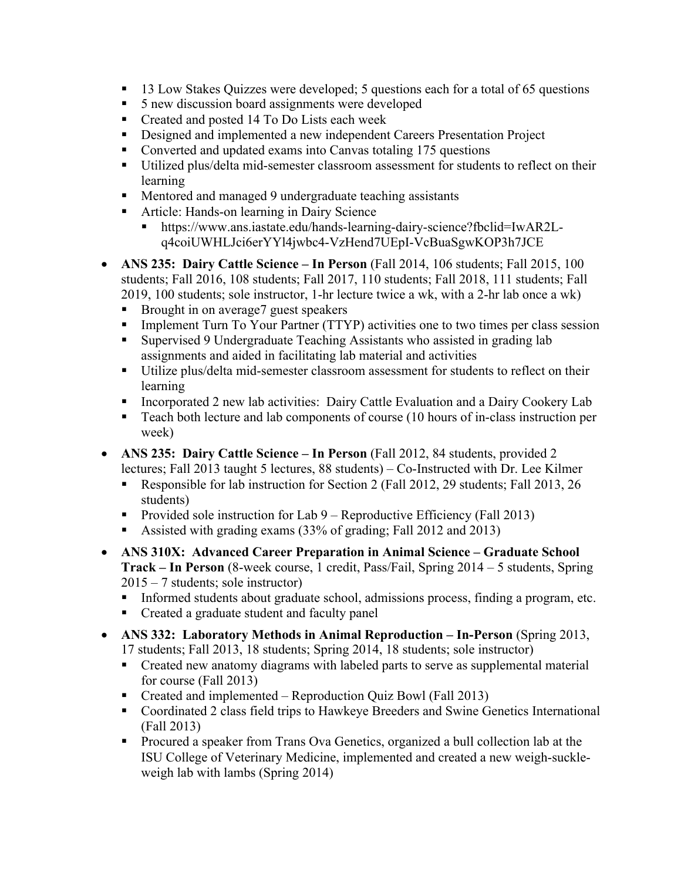- § 13 Low Stakes Quizzes were developed; 5 questions each for a total of 65 questions
- 5 new discussion board assignments were developed
- Created and posted 14 To Do Lists each week
- Designed and implemented a new independent Careers Presentation Project
- Converted and updated exams into Canvas totaling 175 questions
- Utilized plus/delta mid-semester classroom assessment for students to reflect on their learning
- Mentored and managed 9 undergraduate teaching assistants
- Article: Hands-on learning in Dairy Science
	- § https://www.ans.iastate.edu/hands-learning-dairy-science?fbclid=IwAR2Lq4coiUWHLJci6erYYl4jwbc4-VzHend7UEpI-VcBuaSgwKOP3h7JCE
- **ANS 235: Dairy Cattle Science – In Person** (Fall 2014, 106 students; Fall 2015, 100 students; Fall 2016, 108 students; Fall 2017, 110 students; Fall 2018, 111 students; Fall 2019, 100 students; sole instructor, 1-hr lecture twice a wk, with a 2-hr lab once a wk)
	- Brought in on average7 guest speakers
	- Implement Turn To Your Partner (TTYP) activities one to two times per class session
	- Supervised 9 Undergraduate Teaching Assistants who assisted in grading lab assignments and aided in facilitating lab material and activities
	- Utilize plus/delta mid-semester classroom assessment for students to reflect on their learning
	- Incorporated 2 new lab activities: Dairy Cattle Evaluation and a Dairy Cookery Lab
	- Teach both lecture and lab components of course (10 hours of in-class instruction per week)
- **ANS 235: Dairy Cattle Science – In Person** (Fall 2012, 84 students, provided 2 lectures; Fall 2013 taught 5 lectures, 88 students) – Co-Instructed with Dr. Lee Kilmer
	- Responsible for lab instruction for Section 2 (Fall 2012, 29 students; Fall 2013, 26 students)
	- Provided sole instruction for Lab 9 Reproductive Efficiency (Fall 2013)
	- Assisted with grading exams (33% of grading; Fall 2012 and 2013)
- **ANS 310X: Advanced Career Preparation in Animal Science – Graduate School Track – In Person** (8-week course, 1 credit, Pass/Fail, Spring 2014 – 5 students, Spring 2015 – 7 students; sole instructor)
	- Informed students about graduate school, admissions process, finding a program, etc.
	- Created a graduate student and faculty panel
- **ANS 332: Laboratory Methods in Animal Reproduction – In-Person** (Spring 2013, 17 students; Fall 2013, 18 students; Spring 2014, 18 students; sole instructor)
	- Created new anatomy diagrams with labeled parts to serve as supplemental material for course (Fall 2013)
	- Created and implemented Reproduction Quiz Bowl (Fall 2013)
	- Coordinated 2 class field trips to Hawkeye Breeders and Swine Genetics International (Fall 2013)
	- Procured a speaker from Trans Ova Genetics, organized a bull collection lab at the ISU College of Veterinary Medicine, implemented and created a new weigh-suckleweigh lab with lambs (Spring 2014)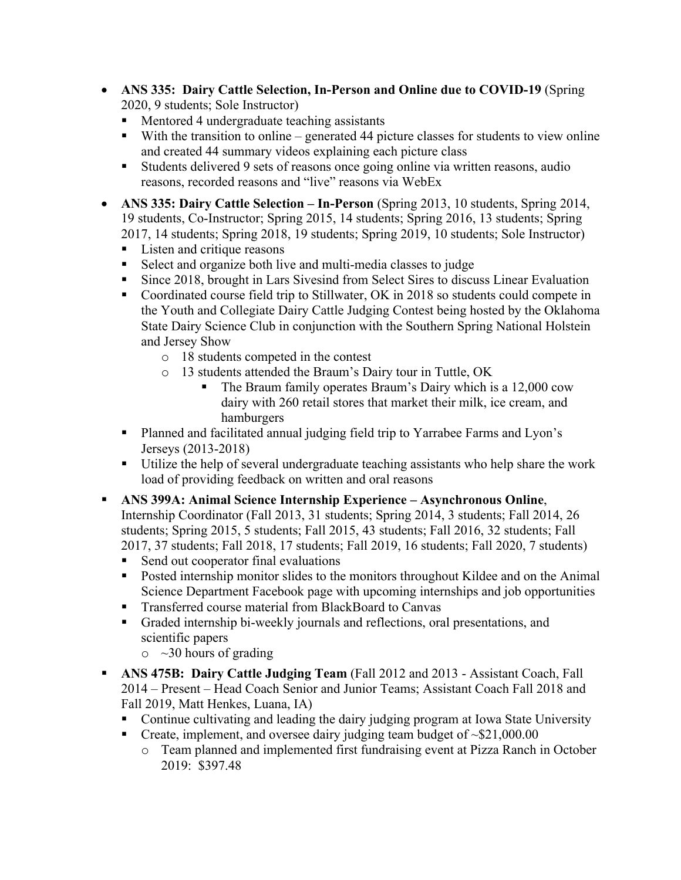- **ANS 335: Dairy Cattle Selection, In-Person and Online due to COVID-19** (Spring 2020, 9 students; Sole Instructor)
	- § Mentored 4 undergraduate teaching assistants
	- With the transition to online generated 44 picture classes for students to view online and created 44 summary videos explaining each picture class
	- Students delivered 9 sets of reasons once going online via written reasons, audio reasons, recorded reasons and "live" reasons via WebEx
- **ANS 335: Dairy Cattle Selection – In-Person** (Spring 2013, 10 students, Spring 2014, 19 students, Co-Instructor; Spring 2015, 14 students; Spring 2016, 13 students; Spring 2017, 14 students; Spring 2018, 19 students; Spring 2019, 10 students; Sole Instructor)
	- Listen and critique reasons
	- Select and organize both live and multi-media classes to judge
	- Since 2018, brought in Lars Sivesind from Select Sires to discuss Linear Evaluation
	- Coordinated course field trip to Stillwater, OK in 2018 so students could compete in the Youth and Collegiate Dairy Cattle Judging Contest being hosted by the Oklahoma State Dairy Science Club in conjunction with the Southern Spring National Holstein and Jersey Show
		- o 18 students competed in the contest
		- o 13 students attended the Braum's Dairy tour in Tuttle, OK
			- The Braum family operates Braum's Dairy which is a 12,000 cow dairy with 260 retail stores that market their milk, ice cream, and hamburgers
	- § Planned and facilitated annual judging field trip to Yarrabee Farms and Lyon's Jerseys (2013-2018)
	- Utilize the help of several undergraduate teaching assistants who help share the work load of providing feedback on written and oral reasons
- § **ANS 399A: Animal Science Internship Experience – Asynchronous Online**,

Internship Coordinator (Fall 2013, 31 students; Spring 2014, 3 students; Fall 2014, 26 students; Spring 2015, 5 students; Fall 2015, 43 students; Fall 2016, 32 students; Fall 2017, 37 students; Fall 2018, 17 students; Fall 2019, 16 students; Fall 2020, 7 students)

- Send out cooperator final evaluations
- Posted internship monitor slides to the monitors throughout Kildee and on the Animal Science Department Facebook page with upcoming internships and job opportunities
- Transferred course material from BlackBoard to Canvas
- § Graded internship bi-weekly journals and reflections, oral presentations, and scientific papers
	- $\circ$  ~30 hours of grading
- § **ANS 475B: Dairy Cattle Judging Team** (Fall 2012 and 2013 Assistant Coach, Fall 2014 – Present – Head Coach Senior and Junior Teams; Assistant Coach Fall 2018 and Fall 2019, Matt Henkes, Luana, IA)
	- Continue cultivating and leading the dairy judging program at Iowa State University
	- Create, implement, and oversee dairy judging team budget of  $~\$21,000.00$ 
		- o Team planned and implemented first fundraising event at Pizza Ranch in October 2019: \$397.48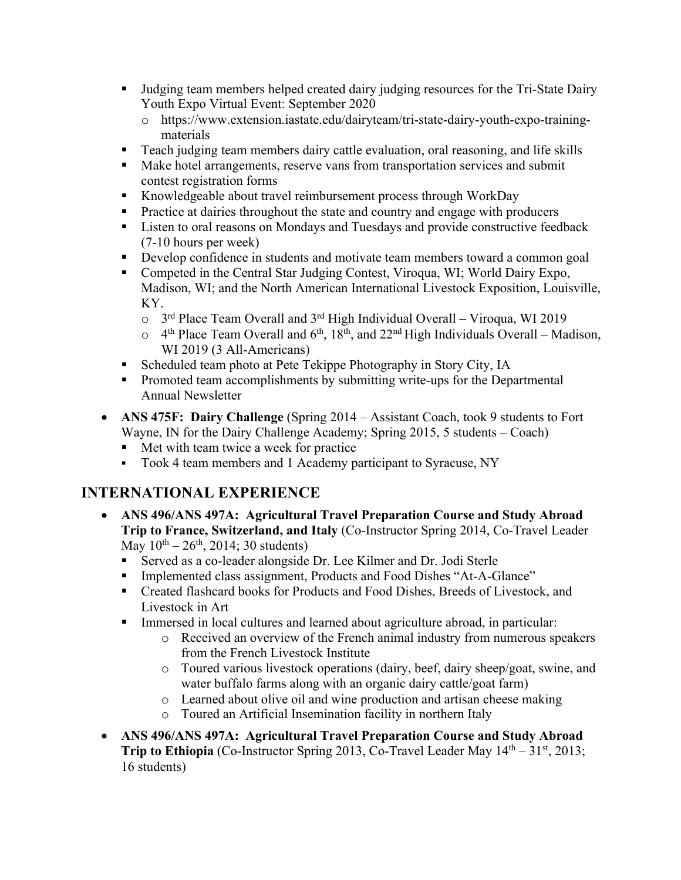- Judging team members helped created dairy judging resources for the Tri-State Dairy Youth Expo Virtual Event: September 2020
	- o https://www.extension.iastate.edu/dairyteam/tri-state-dairy-youth-expo-trainingmaterials
- Teach judging team members dairy cattle evaluation, oral reasoning, and life skills
- Make hotel arrangements, reserve vans from transportation services and submit contest registration forms
- Knowledgeable about travel reimbursement process through WorkDay
- § Practice at dairies throughout the state and country and engage with producers
- Listen to oral reasons on Mondays and Tuesdays and provide constructive feedback (7-10 hours per week)
- Develop confidence in students and motivate team members toward a common goal
- Competed in the Central Star Judging Contest, Viroqua, WI; World Dairy Expo, Madison, WI; and the North American International Livestock Exposition, Louisville, KY.
	- $\circ$  3<sup>rd</sup> Place Team Overall and 3<sup>rd</sup> High Individual Overall Viroqua, WI 2019
	- $\circ$  4<sup>th</sup> Place Team Overall and 6<sup>th</sup>, 18<sup>th</sup>, and 22<sup>nd</sup> High Individuals Overall Madison, WI 2019 (3 All-Americans)
- Scheduled team photo at Pete Tekippe Photography in Story City, IA
- Promoted team accomplishments by submitting write-ups for the Departmental Annual Newsletter
- **ANS 475F: Dairy Challenge** (Spring 2014 Assistant Coach, took 9 students to Fort Wayne, IN for the Dairy Challenge Academy; Spring 2015, 5 students – Coach)
	- Met with team twice a week for practice
	- Took 4 team members and 1 Academy participant to Syracuse, NY

# **INTERNATIONAL EXPERIENCE**

- **ANS 496/ANS 497A: Agricultural Travel Preparation Course and Study Abroad Trip to France, Switzerland, and Italy** (Co-Instructor Spring 2014, Co-Travel Leader May  $10^{th} - 26^{th}$ , 2014; 30 students)
	- Served as a co-leader alongside Dr. Lee Kilmer and Dr. Jodi Sterle
	- Implemented class assignment, Products and Food Dishes "At-A-Glance"
	- § Created flashcard books for Products and Food Dishes, Breeds of Livestock, and Livestock in Art
	- Immersed in local cultures and learned about agriculture abroad, in particular:
		- o Received an overview of the French animal industry from numerous speakers from the French Livestock Institute
		- o Toured various livestock operations (dairy, beef, dairy sheep/goat, swine, and water buffalo farms along with an organic dairy cattle/goat farm)
		- o Learned about olive oil and wine production and artisan cheese making
		- o Toured an Artificial Insemination facility in northern Italy
- **ANS 496/ANS 497A: Agricultural Travel Preparation Course and Study Abroad Trip to Ethiopia** (Co-Instructor Spring 2013, Co-Travel Leader May 14<sup>th</sup> – 31<sup>st</sup>, 2013; 16 students)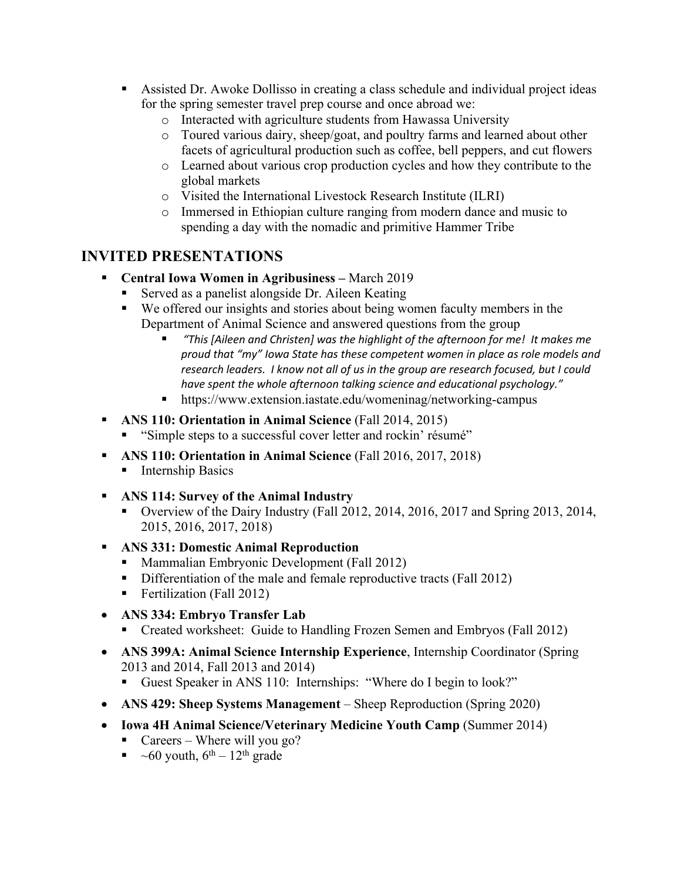- Assisted Dr. Awoke Dollisso in creating a class schedule and individual project ideas for the spring semester travel prep course and once abroad we:
	- o Interacted with agriculture students from Hawassa University
	- o Toured various dairy, sheep/goat, and poultry farms and learned about other facets of agricultural production such as coffee, bell peppers, and cut flowers
	- o Learned about various crop production cycles and how they contribute to the global markets
	- o Visited the International Livestock Research Institute (ILRI)
	- o Immersed in Ethiopian culture ranging from modern dance and music to spending a day with the nomadic and primitive Hammer Tribe

## **INVITED PRESENTATIONS**

- § **Central Iowa Women in Agribusiness –** March 2019
	- § Served as a panelist alongside Dr. Aileen Keating
	- We offered our insights and stories about being women faculty members in the Department of Animal Science and answered questions from the group
		- § *"This [Aileen and Christen] was the highlight of the afternoon for me! It makes me proud that "my" Iowa State has these competent women in place as role models and research leaders. I know not all of us in the group are research focused, but I could have spent the whole afternoon talking science and educational psychology."*
		- § https://www.extension.iastate.edu/womeninag/networking-campus
- § **ANS 110: Orientation in Animal Science** (Fall 2014, 2015)
	- "Simple steps to a successful cover letter and rockin' résumé"
- § **ANS 110: Orientation in Animal Science** (Fall 2016, 2017, 2018)
	- Internship Basics
- § **ANS 114: Survey of the Animal Industry** 
	- Overview of the Dairy Industry (Fall 2012, 2014, 2016, 2017 and Spring 2013, 2014, 2015, 2016, 2017, 2018)
- § **ANS 331: Domestic Animal Reproduction** 
	- Mammalian Embryonic Development (Fall 2012)
	- Differentiation of the male and female reproductive tracts (Fall 2012)
	- Fertilization (Fall 2012)
- **ANS 334: Embryo Transfer Lab** 
	- Created worksheet: Guide to Handling Frozen Semen and Embryos (Fall 2012)
- **ANS 399A: Animal Science Internship Experience**, Internship Coordinator (Spring 2013 and 2014, Fall 2013 and 2014)
	- Guest Speaker in ANS 110: Internships: "Where do I begin to look?"
- **ANS 429: Sheep Systems Management** Sheep Reproduction (Spring 2020)
- **Iowa 4H Animal Science/Veterinary Medicine Youth Camp** (Summer 2014)
	- Careers Where will you go?
	- $\sim 60$  youth,  $6^{th} 12^{th}$  grade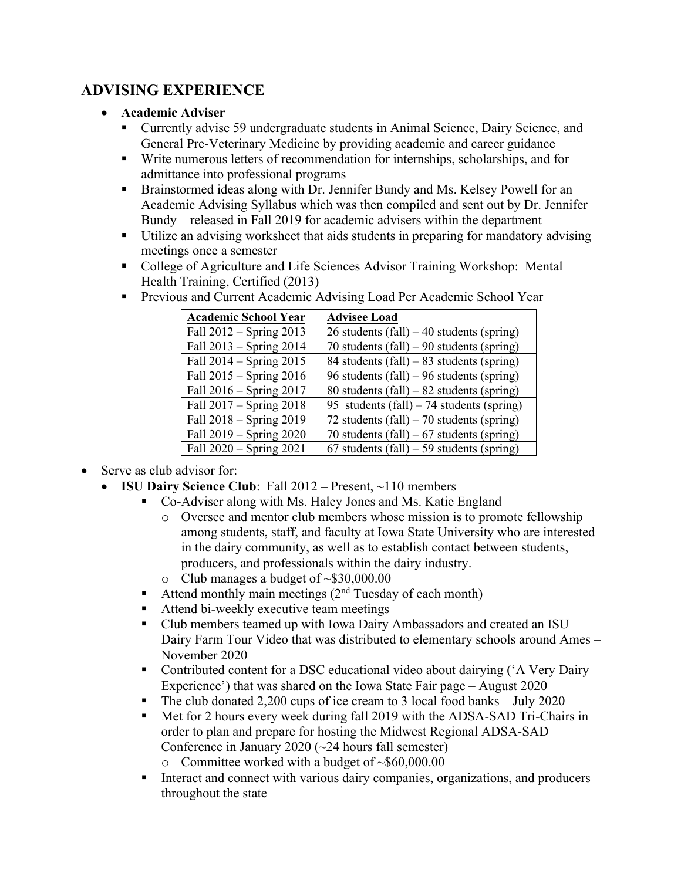# **ADVISING EXPERIENCE**

#### • **Academic Adviser**

- Currently advise 59 undergraduate students in Animal Science, Dairy Science, and General Pre-Veterinary Medicine by providing academic and career guidance
- § Write numerous letters of recommendation for internships, scholarships, and for admittance into professional programs
- **•** Brainstormed ideas along with Dr. Jennifer Bundy and Ms. Kelsey Powell for an Academic Advising Syllabus which was then compiled and sent out by Dr. Jennifer Bundy – released in Fall 2019 for academic advisers within the department
- Utilize an advising worksheet that aids students in preparing for mandatory advising meetings once a semester
- College of Agriculture and Life Sciences Advisor Training Workshop: Mental Health Training, Certified (2013)

| <b>Academic School Year</b> | <b>Advisee Load</b>                         |
|-----------------------------|---------------------------------------------|
| Fall 2012 - Spring 2013     | 26 students (fall) $-40$ students (spring)  |
| Fall 2013 – Spring 2014     | 70 students (fall) – 90 students (spring)   |
| Fall $2014 -$ Spring $2015$ | 84 students (fall) $-$ 83 students (spring) |
| Fall $2015 -$ Spring $2016$ | 96 students (fall) – 96 students (spring)   |
| Fall $2016 -$ Spring $2017$ | 80 students (fall) $-82$ students (spring)  |
| Fall $2017 -$ Spring $2018$ | 95 students (fall) $-74$ students (spring)  |
| Fall 2018 - Spring 2019     | 72 students (fall) $-70$ students (spring)  |
| Fall $2019 -$ Spring $2020$ | 70 students (fall) $-67$ students (spring)  |
| Fall 2020 - Spring 2021     | 67 students (fall) $-59$ students (spring)  |

■ Previous and Current Academic Advising Load Per Academic School Year

- Serve as club advisor for:
	- **ISU Dairy Science Club**: Fall  $2012$  Present,  $\sim$ 110 members
		- § Co-Adviser along with Ms. Haley Jones and Ms. Katie England
			- o Oversee and mentor club members whose mission is to promote fellowship among students, staff, and faculty at Iowa State University who are interested in the dairy community, as well as to establish contact between students, producers, and professionals within the dairy industry.
			- $\circ$  Club manages a budget of ~\$30,000.00
		- Attend monthly main meetings  $(2<sup>nd</sup> Tuesday of each month)$
		- Attend bi-weekly executive team meetings
		- § Club members teamed up with Iowa Dairy Ambassadors and created an ISU Dairy Farm Tour Video that was distributed to elementary schools around Ames – November 2020
		- Contributed content for a DSC educational video about dairying ('A Very Dairy Experience') that was shared on the Iowa State Fair page – August 2020
		- The club donated 2,200 cups of ice cream to 3 local food banks July 2020
		- § Met for 2 hours every week during fall 2019 with the ADSA-SAD Tri-Chairs in order to plan and prepare for hosting the Midwest Regional ADSA-SAD Conference in January 2020 (~24 hours fall semester)
			- $\circ$  Committee worked with a budget of ~\$60,000.00
		- Interact and connect with various dairy companies, organizations, and producers throughout the state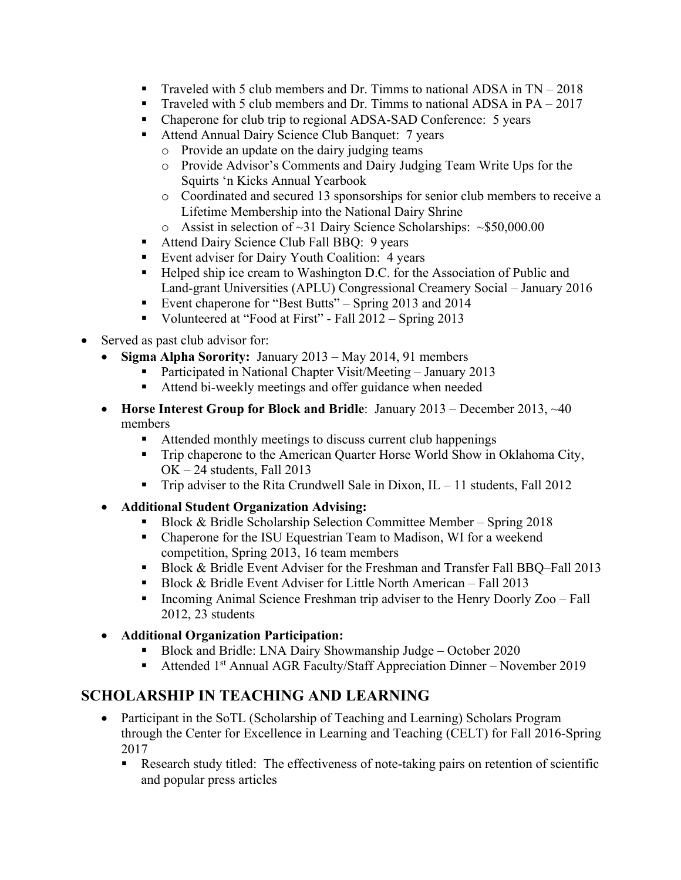- **•** Traveled with 5 club members and Dr. Timms to national ADSA in  $TN 2018$
- Traveled with 5 club members and Dr. Timms to national ADSA in PA 2017
- Chaperone for club trip to regional ADSA-SAD Conference: 5 years
- Attend Annual Dairy Science Club Banquet: 7 years
	- o Provide an update on the dairy judging teams
	- o Provide Advisor's Comments and Dairy Judging Team Write Ups for the Squirts 'n Kicks Annual Yearbook
	- o Coordinated and secured 13 sponsorships for senior club members to receive a Lifetime Membership into the National Dairy Shrine
	- o Assist in selection of ~31 Dairy Science Scholarships: ~\$50,000.00
- Attend Dairy Science Club Fall BBQ: 9 years
- Event adviser for Dairy Youth Coalition: 4 years
- Helped ship ice cream to Washington D.C. for the Association of Public and Land-grant Universities (APLU) Congressional Creamery Social – January 2016
- Event chaperone for "Best Butts" Spring 2013 and 2014
- Volunteered at "Food at First" Fall 2012 Spring 2013
- Served as past club advisor for:
	- **Sigma Alpha Sorority:** January 2013 May 2014, 91 members
		- § Participated in National Chapter Visit/Meeting January 2013
		- Attend bi-weekly meetings and offer guidance when needed
	- **Horse Interest Group for Block and Bridle**: January 2013 December 2013, ~40 members
		- Attended monthly meetings to discuss current club happenings
		- Trip chaperone to the American Quarter Horse World Show in Oklahoma City, OK – 24 students, Fall 2013
		- **•** Trip adviser to the Rita Crundwell Sale in Dixon,  $IL 11$  students, Fall 2012
	- **Additional Student Organization Advising:** 
		- Block & Bridle Scholarship Selection Committee Member Spring 2018
		- Chaperone for the ISU Equestrian Team to Madison, WI for a weekend competition, Spring 2013, 16 team members
		- Block & Bridle Event Adviser for the Freshman and Transfer Fall BBQ–Fall 2013
		- Block & Bridle Event Adviser for Little North American Fall 2013
		- § Incoming Animal Science Freshman trip adviser to the Henry Doorly Zoo Fall 2012, 23 students
	- **Additional Organization Participation:**
		- § Block and Bridle: LNA Dairy Showmanship Judge October 2020
		- Attended 1<sup>st</sup> Annual AGR Faculty/Staff Appreciation Dinner November 2019

# **SCHOLARSHIP IN TEACHING AND LEARNING**

- Participant in the SoTL (Scholarship of Teaching and Learning) Scholars Program through the Center for Excellence in Learning and Teaching (CELT) for Fall 2016-Spring 2017
	- Research study titled: The effectiveness of note-taking pairs on retention of scientific and popular press articles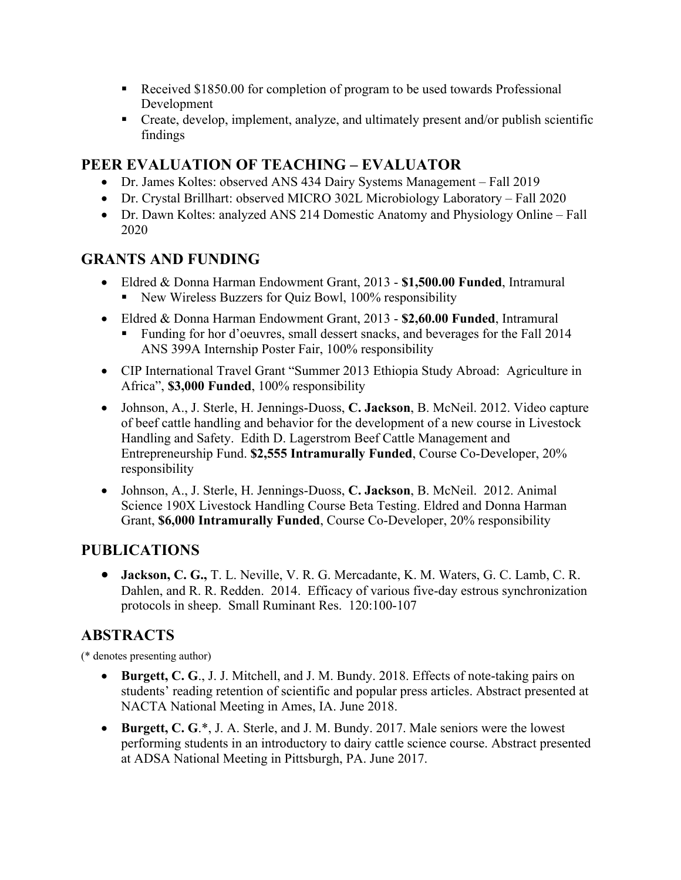- Received \$1850.00 for completion of program to be used towards Professional Development
- Create, develop, implement, analyze, and ultimately present and/or publish scientific findings

# **PEER EVALUATION OF TEACHING – EVALUATOR**

- Dr. James Koltes: observed ANS 434 Dairy Systems Management Fall 2019
- Dr. Crystal Brillhart: observed MICRO 302L Microbiology Laboratory Fall 2020
- Dr. Dawn Koltes: analyzed ANS 214 Domestic Anatomy and Physiology Online Fall 2020

## **GRANTS AND FUNDING**

- Eldred & Donna Harman Endowment Grant, 2013 **\$1,500.00 Funded**, Intramural ■ New Wireless Buzzers for Quiz Bowl, 100% responsibility
- Eldred & Donna Harman Endowment Grant, 2013 **\$2,60.00 Funded**, Intramural
	- § Funding for hor d'oeuvres, small dessert snacks, and beverages for the Fall 2014 ANS 399A Internship Poster Fair, 100% responsibility
- CIP International Travel Grant "Summer 2013 Ethiopia Study Abroad: Agriculture in Africa", **\$3,000 Funded**, 100% responsibility
- Johnson, A., J. Sterle, H. Jennings-Duoss, **C. Jackson**, B. McNeil. 2012. Video capture of beef cattle handling and behavior for the development of a new course in Livestock Handling and Safety. Edith D. Lagerstrom Beef Cattle Management and Entrepreneurship Fund. **\$2,555 Intramurally Funded**, Course Co-Developer, 20% responsibility
- Johnson, A., J. Sterle, H. Jennings-Duoss, **C. Jackson**, B. McNeil. 2012. Animal Science 190X Livestock Handling Course Beta Testing. Eldred and Donna Harman Grant, **\$6,000 Intramurally Funded**, Course Co-Developer, 20% responsibility

# **PUBLICATIONS**

• **Jackson, C. G.,** T. L. Neville, V. R. G. Mercadante, K. M. Waters, G. C. Lamb, C. R. Dahlen, and R. R. Redden. 2014. Efficacy of various five-day estrous synchronization protocols in sheep. Small Ruminant Res. 120:100-107

# **ABSTRACTS**

(\* denotes presenting author)

- **Burgett, C. G**., J. J. Mitchell, and J. M. Bundy. 2018. Effects of note-taking pairs on students' reading retention of scientific and popular press articles. Abstract presented at NACTA National Meeting in Ames, IA. June 2018.
- **Burgett, C. G**.\*, J. A. Sterle, and J. M. Bundy. 2017. Male seniors were the lowest performing students in an introductory to dairy cattle science course. Abstract presented at ADSA National Meeting in Pittsburgh, PA. June 2017.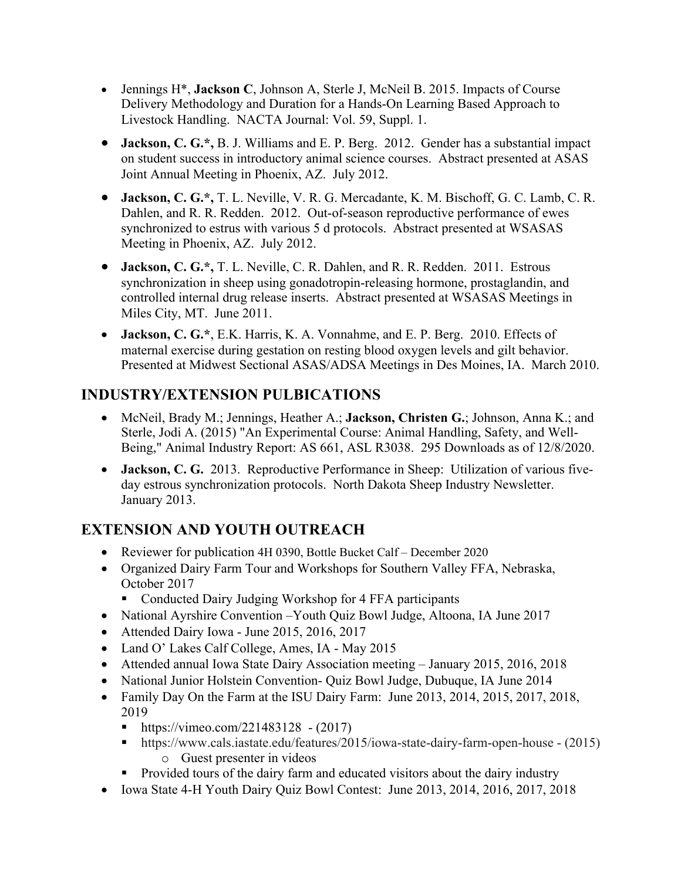- Jennings H\*, **Jackson C**, Johnson A, Sterle J, McNeil B. 2015. Impacts of Course Delivery Methodology and Duration for a Hands-On Learning Based Approach to Livestock Handling. NACTA Journal: Vol. 59, Suppl. 1.
- **Jackson, C. G.\*,** B. J. Williams and E. P. Berg. 2012. Gender has a substantial impact on student success in introductory animal science courses. Abstract presented at ASAS Joint Annual Meeting in Phoenix, AZ. July 2012.
- **Jackson, C. G.\*,** T. L. Neville, V. R. G. Mercadante, K. M. Bischoff, G. C. Lamb, C. R. Dahlen, and R. R. Redden. 2012. Out-of-season reproductive performance of ewes synchronized to estrus with various 5 d protocols. Abstract presented at WSASAS Meeting in Phoenix, AZ. July 2012.
- **Jackson, C. G.\*,** T. L. Neville, C. R. Dahlen, and R. R. Redden. 2011. Estrous synchronization in sheep using gonadotropin-releasing hormone, prostaglandin, and controlled internal drug release inserts. Abstract presented at WSASAS Meetings in Miles City, MT. June 2011.
- **Jackson, C. G.\***, E.K. Harris, K. A. Vonnahme, and E. P. Berg. 2010. Effects of maternal exercise during gestation on resting blood oxygen levels and gilt behavior. Presented at Midwest Sectional ASAS/ADSA Meetings in Des Moines, IA. March 2010.

# **INDUSTRY/EXTENSION PULBICATIONS**

- McNeil, Brady M.; Jennings, Heather A.; **Jackson, Christen G.**; Johnson, Anna K.; and Sterle, Jodi A. (2015) "An Experimental Course: Animal Handling, Safety, and Well-Being," Animal Industry Report: AS 661, ASL R3038. 295 Downloads as of 12/8/2020.
- **Jackson, C. G.** 2013. Reproductive Performance in Sheep: Utilization of various fiveday estrous synchronization protocols. North Dakota Sheep Industry Newsletter. January 2013.

# **EXTENSION AND YOUTH OUTREACH**

- Reviewer for publication 4H 0390, Bottle Bucket Calf December 2020
- Organized Dairy Farm Tour and Workshops for Southern Valley FFA, Nebraska, October 2017
	- Conducted Dairy Judging Workshop for 4 FFA participants
- National Ayrshire Convention Youth Quiz Bowl Judge, Altoona, IA June 2017
- Attended Dairy Iowa June 2015, 2016, 2017
- Land O' Lakes Calf College, Ames, IA May 2015
- Attended annual Iowa State Dairy Association meeting January 2015, 2016, 2018
- National Junior Holstein Convention- Quiz Bowl Judge, Dubuque, IA June 2014
- Family Day On the Farm at the ISU Dairy Farm: June 2013, 2014, 2015, 2017, 2018, 2019
	- https://vimeo.com/221483128 (2017)
	- § https://www.cals.iastate.edu/features/2015/iowa-state-dairy-farm-open-house (2015) o Guest presenter in videos
	- Provided tours of the dairy farm and educated visitors about the dairy industry
- Iowa State 4-H Youth Dairy Quiz Bowl Contest: June 2013, 2014, 2016, 2017, 2018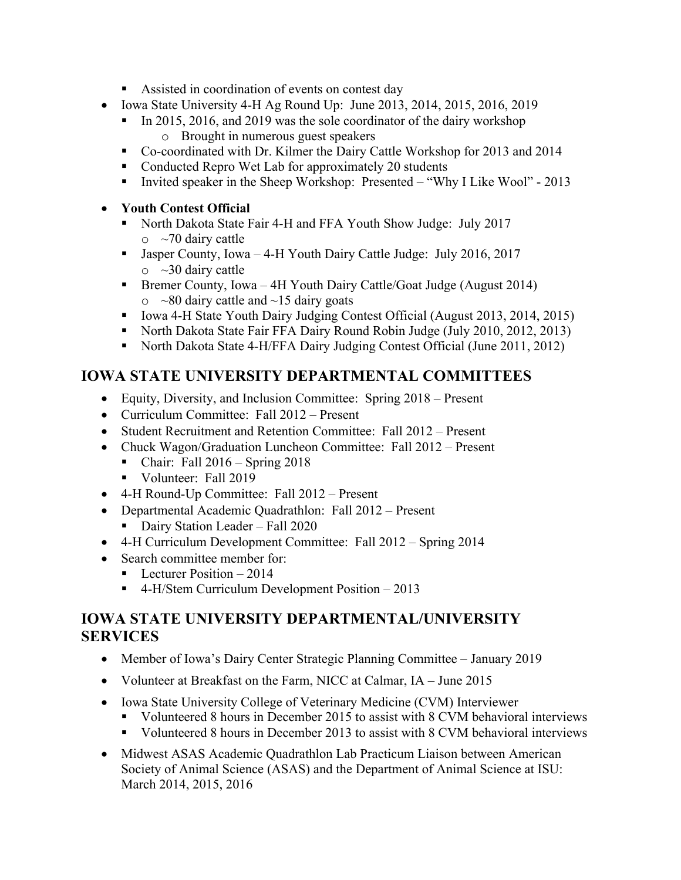- Assisted in coordination of events on contest day
- Iowa State University 4-H Ag Round Up:June 2013, 2014, 2015, 2016, 2019
	- In 2015, 2016, and 2019 was the sole coordinator of the dairy workshop o Brought in numerous guest speakers
	- Co-coordinated with Dr. Kilmer the Dairy Cattle Workshop for 2013 and 2014
	- Conducted Repro Wet Lab for approximately 20 students
	- Invited speaker in the Sheep Workshop: Presented "Why I Like Wool" 2013

#### • **Youth Contest Official**

- North Dakota State Fair 4-H and FFA Youth Show Judge: July 2017  $\circ$  ~70 dairy cattle
- Jasper County, Iowa 4-H Youth Dairy Cattle Judge: July 2016, 2017  $\circ$  ~30 dairy cattle
- Bremer County, Iowa 4H Youth Dairy Cattle/Goat Judge (August 2014)  $\circ$  ~80 dairy cattle and ~15 dairy goats
- Iowa 4-H State Youth Dairy Judging Contest Official (August 2013, 2014, 2015)
- North Dakota State Fair FFA Dairy Round Robin Judge (July 2010, 2012, 2013)
- North Dakota State 4-H/FFA Dairy Judging Contest Official (June 2011, 2012)

# **IOWA STATE UNIVERSITY DEPARTMENTAL COMMITTEES**

- Equity, Diversity, and Inclusion Committee: Spring 2018 Present
- Curriculum Committee: Fall 2012 Present
- Student Recruitment and Retention Committee: Fall 2012 Present
- Chuck Wagon/Graduation Luncheon Committee: Fall 2012 Present
	- § Chair: Fall 2016 Spring 2018
	- Volunteer: Fall 2019
- 4-H Round-Up Committee: Fall 2012 Present
- Departmental Academic Quadrathlon: Fall 2012 Present
	- Dairy Station Leader Fall 2020
- 4-H Curriculum Development Committee: Fall 2012 Spring 2014
- Search committee member for:
	- Lecturer Position  $-2014$
	- 4-H/Stem Curriculum Development Position 2013

## **IOWA STATE UNIVERSITY DEPARTMENTAL/UNIVERSITY SERVICES**

- Member of Iowa's Dairy Center Strategic Planning Committee January 2019
- Volunteer at Breakfast on the Farm, NICC at Calmar, IA June 2015
- Iowa State University College of Veterinary Medicine (CVM) Interviewer
	- Volunteered 8 hours in December 2015 to assist with 8 CVM behavioral interviews
	- Volunteered 8 hours in December 2013 to assist with 8 CVM behavioral interviews
- Midwest ASAS Academic Quadrathlon Lab Practicum Liaison between American Society of Animal Science (ASAS) and the Department of Animal Science at ISU: March 2014, 2015, 2016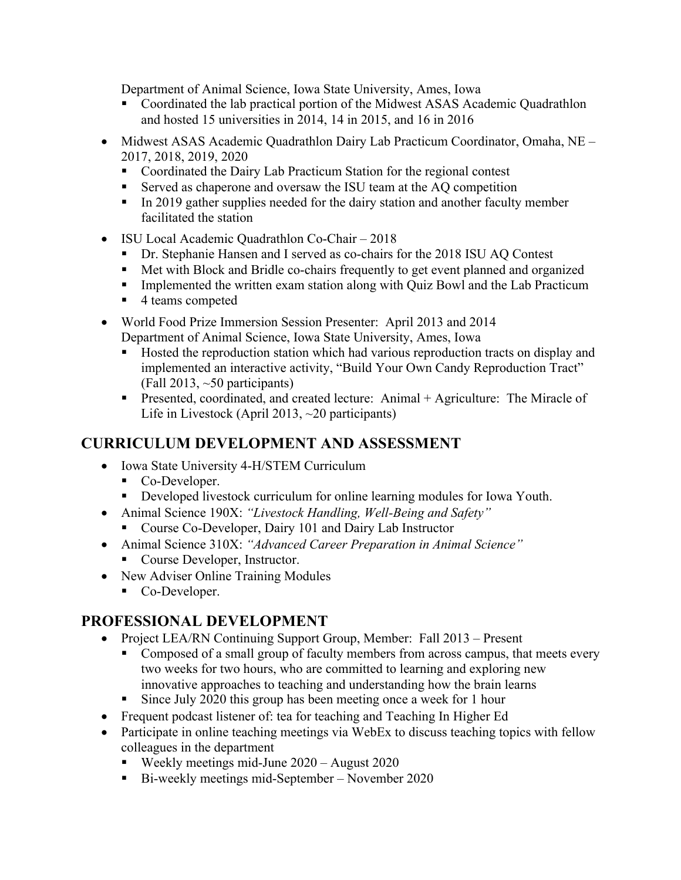Department of Animal Science, Iowa State University, Ames, Iowa

- Coordinated the lab practical portion of the Midwest ASAS Academic Quadrathlon and hosted 15 universities in 2014, 14 in 2015, and 16 in 2016
- Midwest ASAS Academic Quadrathlon Dairy Lab Practicum Coordinator, Omaha, NE 2017, 2018, 2019, 2020
	- Coordinated the Dairy Lab Practicum Station for the regional contest
	- Served as chaperone and oversaw the ISU team at the AQ competition
	- In 2019 gather supplies needed for the dairy station and another faculty member facilitated the station
- ISU Local Academic Quadrathlon Co-Chair 2018
	- § Dr. Stephanie Hansen and I served as co-chairs for the 2018 ISU AQ Contest
	- Met with Block and Bridle co-chairs frequently to get event planned and organized
	- **•** Implemented the written exam station along with Quiz Bowl and the Lab Practicum
	- 4 teams competed
- World Food Prize Immersion Session Presenter: April 2013 and 2014 Department of Animal Science, Iowa State University, Ames, Iowa
	- Hosted the reproduction station which had various reproduction tracts on display and implemented an interactive activity, "Build Your Own Candy Reproduction Tract" (Fall 2013, ~50 participants)
	- Presented, coordinated, and created lecture: Animal + Agriculture: The Miracle of Life in Livestock (April 2013, ~20 participants)

## **CURRICULUM DEVELOPMENT AND ASSESSMENT**

- Iowa State University 4-H/STEM Curriculum
	- Co-Developer.
	- **•** Developed livestock curriculum for online learning modules for Iowa Youth.
- Animal Science 190X: *"Livestock Handling, Well-Being and Safety"*
- Course Co-Developer, Dairy 101 and Dairy Lab Instructor • Animal Science 310X: *"Advanced Career Preparation in Animal Science"* 
	- Course Developer, Instructor.
- New Adviser Online Training Modules
	- Co-Developer.

#### **PROFESSIONAL DEVELOPMENT**

- Project LEA/RN Continuing Support Group, Member: Fall 2013 Present
	- Composed of a small group of faculty members from across campus, that meets every two weeks for two hours, who are committed to learning and exploring new innovative approaches to teaching and understanding how the brain learns
	- § Since July 2020 this group has been meeting once a week for 1 hour
- Frequent podcast listener of: tea for teaching and Teaching In Higher Ed
- Participate in online teaching meetings via WebEx to discuss teaching topics with fellow colleagues in the department
	- Weekly meetings mid-June 2020 August 2020
	- Bi-weekly meetings mid-September November 2020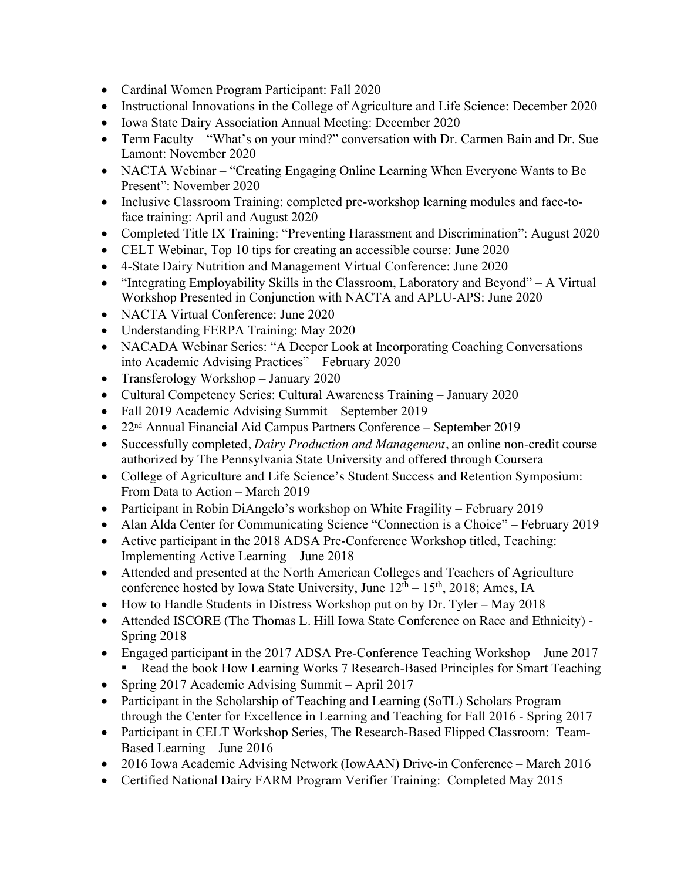- Cardinal Women Program Participant: Fall 2020
- Instructional Innovations in the College of Agriculture and Life Science: December 2020
- Iowa State Dairy Association Annual Meeting: December 2020
- Term Faculty "What's on your mind?" conversation with Dr. Carmen Bain and Dr. Sue Lamont: November 2020
- NACTA Webinar "Creating Engaging Online Learning When Everyone Wants to Be Present": November 2020
- Inclusive Classroom Training: completed pre-workshop learning modules and face-toface training: April and August 2020
- Completed Title IX Training: "Preventing Harassment and Discrimination": August 2020
- CELT Webinar, Top 10 tips for creating an accessible course: June 2020
- 4-State Dairy Nutrition and Management Virtual Conference: June 2020
- "Integrating Employability Skills in the Classroom, Laboratory and Beyond" A Virtual Workshop Presented in Conjunction with NACTA and APLU-APS: June 2020
- NACTA Virtual Conference: June 2020
- Understanding FERPA Training: May 2020
- NACADA Webinar Series: "A Deeper Look at Incorporating Coaching Conversations into Academic Advising Practices" – February 2020
- Transferology Workshop January 2020
- Cultural Competency Series: Cultural Awareness Training January 2020
- Fall 2019 Academic Advising Summit September 2019
- 22nd Annual Financial Aid Campus Partners Conference September 2019
- Successfully completed, *Dairy Production and Management*, an online non-credit course authorized by The Pennsylvania State University and offered through Coursera
- College of Agriculture and Life Science's Student Success and Retention Symposium: From Data to Action – March 2019
- Participant in Robin DiAngelo's workshop on White Fragility February 2019
- Alan Alda Center for Communicating Science "Connection is a Choice" February 2019
- Active participant in the 2018 ADSA Pre-Conference Workshop titled, Teaching: Implementing Active Learning – June 2018
- Attended and presented at the North American Colleges and Teachers of Agriculture conference hosted by Iowa State University, June  $12^{th} - 15^{th}$ , 2018; Ames, IA
- How to Handle Students in Distress Workshop put on by Dr. Tyler May 2018
- Attended ISCORE (The Thomas L. Hill Iowa State Conference on Race and Ethnicity) Spring 2018
- Engaged participant in the 2017 ADSA Pre-Conference Teaching Workshop June 2017
	- § Read the book How Learning Works 7 Research-Based Principles for Smart Teaching
- Spring 2017 Academic Advising Summit April 2017
- Participant in the Scholarship of Teaching and Learning (SoTL) Scholars Program through the Center for Excellence in Learning and Teaching for Fall 2016 - Spring 2017
- Participant in CELT Workshop Series, The Research-Based Flipped Classroom: Team-Based Learning – June 2016
- 2016 Iowa Academic Advising Network (IowAAN) Drive-in Conference March 2016
- Certified National Dairy FARM Program Verifier Training: Completed May 2015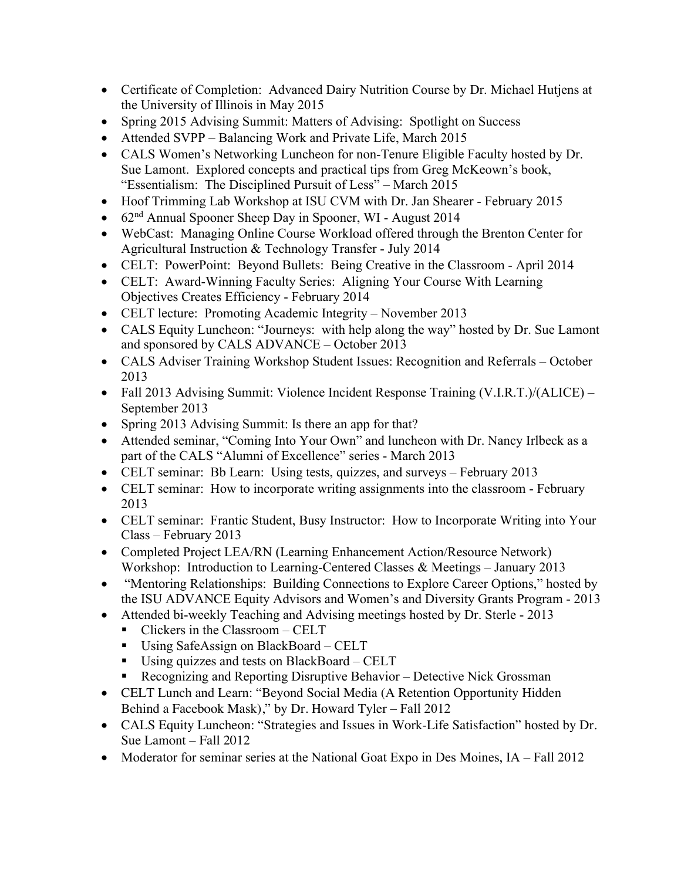- Certificate of Completion: Advanced Dairy Nutrition Course by Dr. Michael Hutjens at the University of Illinois in May 2015
- Spring 2015 Advising Summit: Matters of Advising: Spotlight on Success
- Attended SVPP Balancing Work and Private Life, March 2015
- CALS Women's Networking Luncheon for non-Tenure Eligible Faculty hosted by Dr. Sue Lamont. Explored concepts and practical tips from Greg McKeown's book, "Essentialism: The Disciplined Pursuit of Less" – March 2015
- Hoof Trimming Lab Workshop at ISU CVM with Dr. Jan Shearer February 2015
- 62<sup>nd</sup> Annual Spooner Sheep Day in Spooner, WI August 2014
- WebCast: Managing Online Course Workload offered through the Brenton Center for Agricultural Instruction & Technology Transfer - July 2014
- CELT: PowerPoint: Beyond Bullets: Being Creative in the Classroom April 2014
- CELT: Award-Winning Faculty Series: Aligning Your Course With Learning Objectives Creates Efficiency - February 2014
- CELT lecture: Promoting Academic Integrity November 2013
- CALS Equity Luncheon: "Journeys: with help along the way" hosted by Dr. Sue Lamont and sponsored by CALS ADVANCE – October 2013
- CALS Adviser Training Workshop Student Issues: Recognition and Referrals October 2013
- Fall 2013 Advising Summit: Violence Incident Response Training (V.I.R.T.)/(ALICE) September 2013
- Spring 2013 Advising Summit: Is there an app for that?
- Attended seminar, "Coming Into Your Own" and luncheon with Dr. Nancy Irlbeck as a part of the CALS "Alumni of Excellence" series - March 2013
- CELT seminar: Bb Learn: Using tests, quizzes, and surveys February 2013
- CELT seminar: How to incorporate writing assignments into the classroom February 2013
- CELT seminar: Frantic Student, Busy Instructor: How to Incorporate Writing into Your Class – February 2013
- Completed Project LEA/RN (Learning Enhancement Action/Resource Network) Workshop: Introduction to Learning-Centered Classes & Meetings – January 2013
- "Mentoring Relationships: Building Connections to Explore Career Options," hosted by the ISU ADVANCE Equity Advisors and Women's and Diversity Grants Program - 2013
- Attended bi-weekly Teaching and Advising meetings hosted by Dr. Sterle 2013
	- Clickers in the Classroom CELT
	- Using SafeAssign on BlackBoard CELT
	- Using quizzes and tests on BlackBoard CELT
	- Recognizing and Reporting Disruptive Behavior Detective Nick Grossman
- CELT Lunch and Learn: "Beyond Social Media (A Retention Opportunity Hidden Behind a Facebook Mask)," by Dr. Howard Tyler – Fall 2012
- CALS Equity Luncheon: "Strategies and Issues in Work-Life Satisfaction" hosted by Dr. Sue Lamont – Fall 2012
- Moderator for seminar series at the National Goat Expo in Des Moines, IA Fall 2012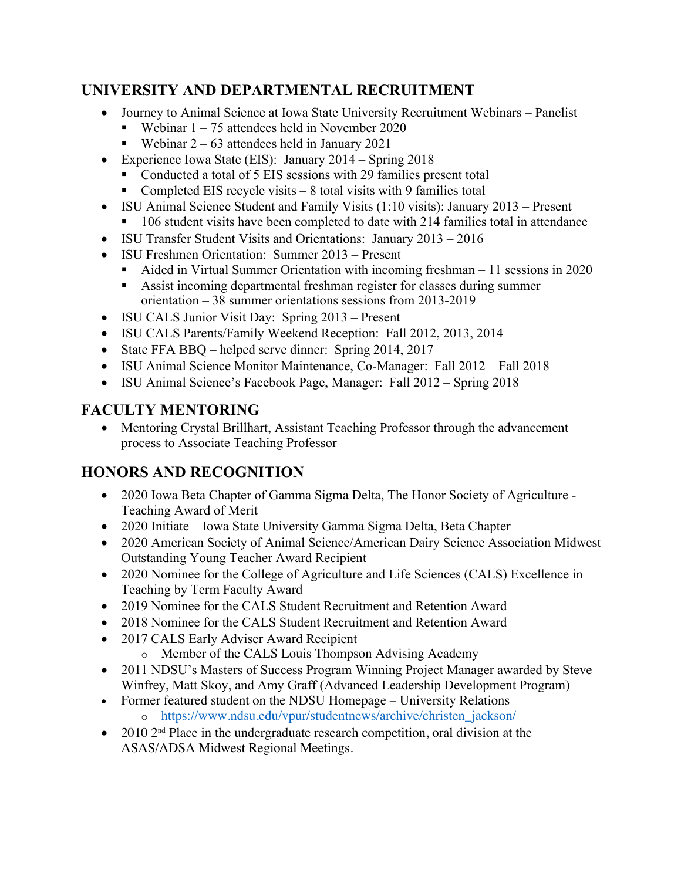# **UNIVERSITY AND DEPARTMENTAL RECRUITMENT**

- Journey to Animal Science at Iowa State University Recruitment Webinars Panelist
	- Webinar  $1 75$  attendees held in November 2020
	- Webinar  $2 63$  attendees held in January 2021
- Experience Iowa State (EIS): January 2014 Spring 2018
	- Conducted a total of 5 EIS sessions with 29 families present total
	- Completed EIS recycle visits  $-8$  total visits with 9 families total
- ISU Animal Science Student and Family Visits (1:10 visits): January 2013 Present
	- 106 student visits have been completed to date with 214 families total in attendance
- ISU Transfer Student Visits and Orientations: January 2013 2016
- ISU Freshmen Orientation: Summer 2013 Present
	- Aided in Virtual Summer Orientation with incoming freshman 11 sessions in 2020
	- Assist incoming departmental freshman register for classes during summer orientation – 38 summer orientations sessions from 2013-2019
- ISU CALS Junior Visit Day: Spring 2013 Present
- ISU CALS Parents/Family Weekend Reception: Fall 2012, 2013, 2014
- State FFA BBQ helped serve dinner: Spring 2014, 2017
- ISU Animal Science Monitor Maintenance, Co-Manager: Fall 2012 Fall 2018
- ISU Animal Science's Facebook Page, Manager: Fall 2012 Spring 2018

# **FACULTY MENTORING**

• Mentoring Crystal Brillhart, Assistant Teaching Professor through the advancement process to Associate Teaching Professor

# **HONORS AND RECOGNITION**

- 2020 Iowa Beta Chapter of Gamma Sigma Delta, The Honor Society of Agriculture Teaching Award of Merit
- 2020 Initiate Iowa State University Gamma Sigma Delta, Beta Chapter
- 2020 American Society of Animal Science/American Dairy Science Association Midwest Outstanding Young Teacher Award Recipient
- 2020 Nominee for the College of Agriculture and Life Sciences (CALS) Excellence in Teaching by Term Faculty Award
- 2019 Nominee for the CALS Student Recruitment and Retention Award
- 2018 Nominee for the CALS Student Recruitment and Retention Award
- 2017 CALS Early Adviser Award Recipient
	- o Member of the CALS Louis Thompson Advising Academy
- 2011 NDSU's Masters of Success Program Winning Project Manager awarded by Steve Winfrey, Matt Skoy, and Amy Graff (Advanced Leadership Development Program)
- Former featured student on the NDSU Homepage University Relations o https://www.ndsu.edu/vpur/studentnews/archive/christen\_jackson/
- 2010 2<sup>nd</sup> Place in the undergraduate research competition, oral division at the ASAS/ADSA Midwest Regional Meetings.